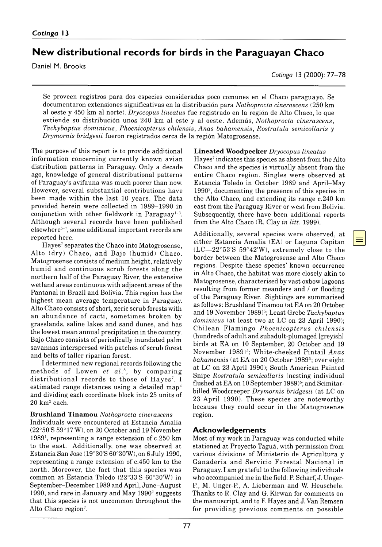# **New distributional records for birds in the Paraguayan Chaco**

Daniel M. Brooks

*Cotinga* 13 (2000): 77– 78

Se proveen registros para dos especies consideradas poco comunes en el Chaco paraguayo. Se documentaron extensiones significativas en la distribución para *Nothoprocta cinerascens* (250 km al oeste y 450 km al norte). *Dryocopus lineatus* fue registrado en la región de Alto Chaco, lo que extiende su distribución unos 240 km al este y al oeste. Además, *Nothoprocta cinerascens*, *Tachybaptus dominicus*, *Phoenicopterus chilensis*, *Anas bahamensis*, *Rostratula semicollaris* y *Drymornis bridgesii* fueron registrados cerca de la región Matogrosense.

The purpose of this report is to provide additional information concerning currently known avian distribution patterns in Paraguay. Only a decade ago, knowledge of general distributional patterns of Paraguay's avifauna was much poorer than now. However, several substantial contributions have been made within the last 10 years. The data provided herein were collected in 1989– 1990 in conjunction with other fieldwork in Paraguay<sup>1-3</sup>. Although several records have been published elsewhere5–7, some additional important records are reported here.

Hayes<sup>7</sup> separates the Chaco into Matogrosense, Alto (dry) Chaco, and Bajo (humid) Chaco. Matogrosense consists of medium height, relatively humid and continuous scrub forests along the northern half of the Paraguay River, the extensive wetland areas continuous with adjacent areas of the Pantanal in Brazil and Bolivia. This region has the highest mean average temperature in Paraguay. Alto Chaco consists of short, xeric scrub forests with an abundance of cacti, sometimes broken by grasslands, saline lakes and sand dunes, and has the lowest mean annual precipitation in the country. Bajo Chaco consists of periodically inundated palm savannas interspersed with patches of scrub forest and belts of taller riparian forest.

I determined new regional records following the methods of Lowen *et al.*8, by comparing distributional records to those of Hayes<sup>7</sup>. I estimated range distances using a detailed map4 and dividing each coordinate block into 25 units of  $20 \text{ km}^2$  each.

### **Brushland Tinamou** *Nothoprocta cinerascens*

Individuals were encountered at Estancia Amalia (22°50'S 59°17'W), on 20 October and 19 November 19891, representing a range extension of c. 250 km to the east. Additionally, one was observed at Estancia San Jose (19°30'S 60°30'W), on 6 July 1990, representing a range extension of c. 450 km to the north. Moreover, the fact that this species was common at Estancia Toledo (22°33'S 60°30'W) in September–December 1989 and April, June-August 1990, and rare in January and May  $1990^2$  suggests that this species is not uncommon throughout the Alto Chaco region<sup>7</sup>.

**Lineated Woodpecker** *Dryocopus lineatus*

Hayes<sup>7</sup> indicates this species as absent from the Alto Chaco and the species is virtually absent from the entire Chaco region. Singles were observed at Estancia Toledo in October 1989 and April–May 19902, documenting the presence of this species in the Alto Chaco, and extending its range c. 240 km east from the Paraguay River or west from Bolivia. Subsequently, there have been additional reports from the Alto Chaco (R. Clay *in litt.* 1999).

Additionally, several species were observed, at either Estancia Amalia (EA) or Laguna Capitan  $(LC - 22°53'S 59°42'W)$ , extremely close to the border between the Matogrosense and Alto Chaco regions. Despite these species' known occurrence in Alto Chaco, the habitat was more closely akin to Matogrosense, characterised by vast oxbow lagoons resulting from former meanders and / or flooding of the Paraguay River. Sightings are summarised as follows: Brushland Tinamou (at EA on 20 October and 19 November 1989)5; Least Grebe *Tachybaptus dominicus* (at least two at LC on 23 April 1990); Chilean Flamingo *Phoenicopterus chilensis* (hundreds of adult and subadult-plumaged [greyish] birds at EA on 10 September, 20 October and 19 November 1989)5; White-cheeked Pintail *Anas bahamensis* (at EA on 20 October 1989<sup>5</sup>; over eight at LC on 23 April 1990); South American Painted Snipe *Rostratula semicollaris* (nesting individual flushed at EA on 10 September 1989)<sup>5</sup>; and Scimitarbilled Woodcreeper *Drymornis bridgesii* (at LC on 23 April 1990). These species are noteworthy because they could occur in the Matogrosense region.

# **A cknow ledgem ents**

Most of my work in Paraguay was conducted while stationed at Proyecto Taguá, with permission from various divisions of Ministerio de Agricultura y Ganadería and Servicio Forestal Nacional in Paraguay. I am grateful to the following individuals who accompanied me in the field: P. Scharf, J. Unger-P., M. Unger-P., A. Lieberman and W. Heuschele. Thanks to R. Clay and G. Kirwan for comments on the manuscript, and to F. Hayes and J. Van Remsen for providing previous comments on possible